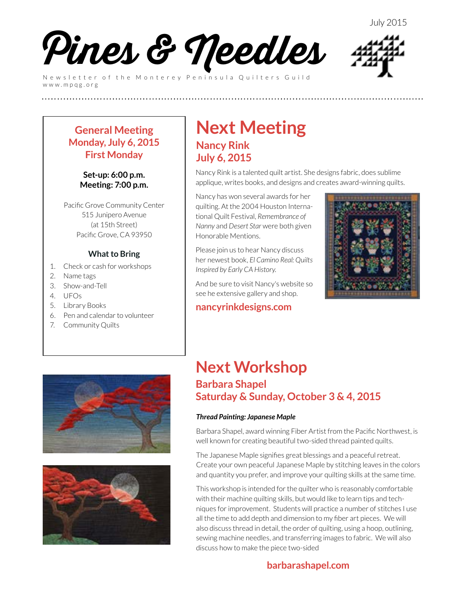

Newsletter of the Monterey Peninsula Quilters Guild www.mpqg.org



### **General Meeting Monday, July 6, 2015 First Monday**

#### **Set-up: 6:00 p.m. Meeting: 7:00 p.m.**

Pacific Grove Community Center 515 Junipero Avenue (at 15th Street) Pacific Grove, CA 93950

### **What to Bring**

- 1. Check or cash for workshops
- 2. Name tags
- 3. Show-and-Tell
- 4. UFOs
- 5. Library Books
- 6. Pen and calendar to volunteer
- 7. Community Quilts

## **Next Meeting Nancy Rink July 6, 2015**

**(((((((((((((((((((((((((**

Nancy Rink is a talented quilt artist. She designs fabric, does sublime applique, writes books, and designs and creates award-winning quilts.

Nancy has won several awards for her quilting. At the 2004 Houston International Quilt Festival, *Remembrance of Nanny* and *Desert Star* were both given Honorable Mentions.

Please join us to hear Nancy discuss her newest book, *El Camino Real: Quilts Inspired by Early CA History*.

And be sure to visit Nancy's website so see he extensive gallery and shop.

### **[nancyrinkdesigns.com](http://nancyrinkdesigns.com)**







### **Next Workshop Barbara Shapel Saturday & Sunday, October 3 & 4, 2015**

### *Thread Painting: Japanese Maple*

Barbara Shapel, award winning Fiber Artist from the Pacific Northwest, is well known for creating beautiful two-sided thread painted quilts.

The Japanese Maple signifies great blessings and a peaceful retreat. Create your own peaceful Japanese Maple by stitching leaves in the colors and quantity you prefer, and improve your quilting skills at the same time.

This workshop is intended for the quilter who is reasonably comfortable with their machine quilting skills, but would like to learn tips and techniques for improvement. Students will practice a number of stitches I use all the time to add depth and dimension to my fiber art pieces. We will also discuss thread in detail, the order of quilting, using a hoop, outlining, sewing machine needles, and transferring images to fabric. We will also discuss how to make the piece two-sided

### **[barbarashapel.com](http://barbarashapel.com)**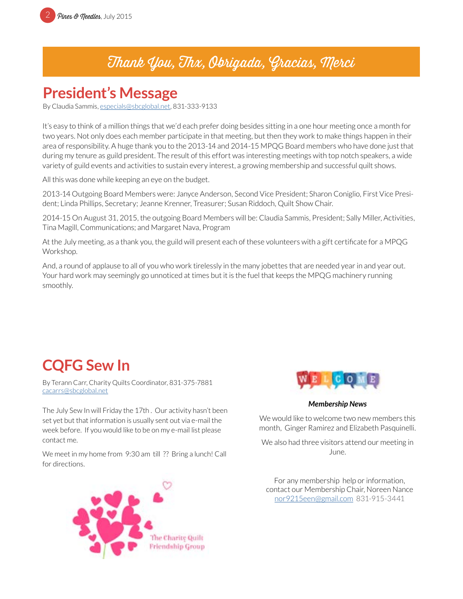

## Thank You, Thx, Obrigada, Gracias, Merci

## **President's Message**

By Claudia Sammis, especials@sbcglobal.net, 831-333-9133

It's easy to think of a million things that we'd each prefer doing besides sitting in a one hour meeting once a month for two years. Not only does each member participate in that meeting, but then they work to make things happen in their area of responsibility. A huge thank you to the 2013-14 and 2014-15 MPQG Board members who have done just that during my tenure as guild president. The result of this effort was interesting meetings with top notch speakers, a wide variety of guild events and activities to sustain every interest, a growing membership and successful quilt shows.

All this was done while keeping an eye on the budget.

2013-14 Outgoing Board Members were: Janyce Anderson, Second Vice President; Sharon Coniglio, First Vice President; Linda Phillips, Secretary; Jeanne Krenner, Treasurer; Susan Riddoch, Quilt Show Chair.

2014-15 On August 31, 2015, the outgoing Board Members will be: Claudia Sammis, President; Sally Miller, Activities, Tina Magill, Communications; and Margaret Nava, Program

At the July meeting, as a thank you, the guild will present each of these volunteers with a gift certificate for a MPQG Workshop.

And, a round of applause to all of you who work tirelessly in the many jobettes that are needed year in and year out. Your hard work may seemingly go unnoticed at times but it is the fuel that keeps the MPQG machinery running smoothly.

# **CQFG Sew In**

By Terann Carr, Charity Quilts Coordinator, 831-375-7881 [cacarrs@sbcglobal.net](mailto:cacarrs%40sbcglobal.net?subject=CQFG%20Sew%20In)

The July Sew In will Friday the 17th . Our activity hasn't been set yet but that information is usually sent out via e-mail the week before. If you would like to be on my e-mail list please contact me.

We meet in my home from 9:30 am till ?? Bring a lunch! Call for directions.





#### *Membership News*

We would like to welcome two new members this month, Ginger Ramirez and Elizabeth Pasquinelli.

We also had three visitors attend our meeting in June.

For any membership help or information, contact our Membership Chair, Noreen Nance [nor9215een@gmail.com](mailto:nor9215een%40gmail.com?subject=MPQG%20Membership) 831-915-3441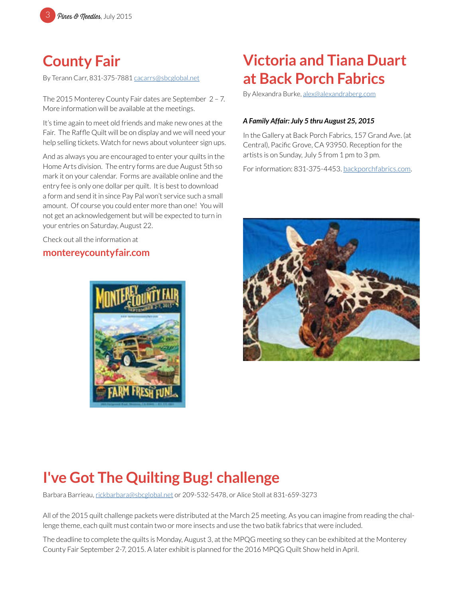

## **County Fair**

By Terann Carr, 831-375-7881 [cacarrs@sbcglobal.net](mailto:rickbarbara%40sbcglobal.net?subject=MPQG%3A%20County%20Fair)

The 2015 Monterey County Fair dates are September 2 – 7. More information will be available at the meetings.

It's time again to meet old friends and make new ones at the Fair. The Raffle Quilt will be on display and we will need your help selling tickets. Watch for news about volunteer sign ups.

And as always you are encouraged to enter your quilts in the Home Arts division. The entry forms are due August 5th so mark it on your calendar. Forms are available online and the entry fee is only one dollar per quilt. It is best to download a form and send it in since Pay Pal won't service such a small amount. Of course you could enter more than one! You will not get an acknowledgement but will be expected to turn in your entries on Saturday, August 22.

Check out all the information at

### **[montereycountyfair.com](http://montereycountyfair.com)**



# **Victoria and Tiana Duart at Back Porch Fabrics**

By Alexandra Burke, [alex@alexandraberg.com](mailto:alex%40alexandraberg.com?subject=MPQG%20Newsletter)

#### *A Family Affair: July 5 thru August 25, 2015*

In the Gallery at Back Porch Fabrics, 157 Grand Ave. (at Central), Pacific Grove, CA 93950. Reception for the artists is on Sunday, July 5 from 1 pm to 3 pm.

For information: 831-375-4453. [backporchfabrics.com](http://backporchfabrics.com).



# **I've Got The Quilting Bug! challenge**

Barbara Barrieau, [rickbarbara@sbcglobal.net](mailto:rickbarbara%40sbcglobal.net?subject=MPQG%20Quilting%20Bug%20Challenge) or 209-532-5478, or Alice Stoll at 831-659-3273

All of the 2015 quilt challenge packets were distributed at the March 25 meeting. As you can imagine from reading the challenge theme, each quilt must contain two or more insects and use the two batik fabrics that were included.

The deadline to complete the quilts is Monday, August 3, at the MPQG meeting so they can be exhibited at the Monterey County Fair September 2-7, 2015. A later exhibit is planned for the 2016 MPQG Quilt Show held in April.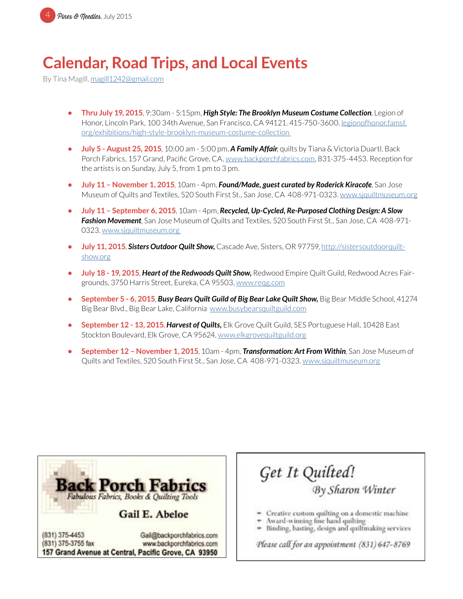

# **Calendar, Road Trips, and Local Events**

By Tina Magill, [magill1242@gmail.com](mailto:magill1242%40gmail.com?subject=MPQG%20Calendar)

- **• Thru July 19, 2015**, 9:30am 5:15pm, *High Style: The Brooklyn Museum Costume Collection*, Legion of Honor, Lincoln Park, 100 34th Avenue, San Francisco, CA 94121. 415-750-3600. l[egionofhonor.famsf.](http://legionofhonor.famsf.org/exhibitions/high-style-brooklyn-museum-costume-collection) [org/exhibitions/high-style-brooklyn-museum-costume-collection](http://legionofhonor.famsf.org/exhibitions/high-style-brooklyn-museum-costume-collection)
- **• July 5 August 25, 2015**, 10:00 am 5:00 pm, *A Family Affair*, quilts by Tiana & Victoria Duartl, Back Porch Fabrics, 157 Grand, Pacific Grove, CA. [www.backporchfabrics.com](http://www.backporchfabrics.com), 831-375-4453. Reception for the artists is on Sunday, July 5, from 1 pm to 3 pm.
- **• July 11 November 1, 2015**, 10am 4pm, *Found/Made, guest curated by Roderick Kiracofe*, San Jose Museum of Quilts and Textiles, 520 South First St., San Jose, CA 408-971-0323. [www.sjquiltmuseum.or](http://www.sjquiltmuseum.org)g
- **• July 11 September 6, 2015**, 10am 4pm, *Recycled, Up-Cycled, Re-Purposed Clothing Design: A Slow Fashion Movement*, San Jose Museum of Quilts and Textiles, 520 South First St., San Jose, CA 408-971- 0323. [www.sjquiltmuseum.or](http://www.sjquiltmuseum.org)g
- **• July 11, 2015**, *Sisters Outdoor Quilt Show,* Cascade Ave, Sisters, OR 97759, [http://sistersoutdoorquilt](http://sistersoutdoorquiltshow.org)[show.org](http://sistersoutdoorquiltshow.org)
- **• July 18 19, 2015**, *Heart of the Redwoods Quilt Show,* Redwood Empire Quilt Guild, Redwood Acres Fairgrounds, 3750 Harris Street, Eureka, CA 95503, [www.reqg.com](http://www.reqg.com)
- **• September 5 6, 2015**, *Busy Bears Quilt Guild of Big Bear Lake Quilt Show,* Big Bear Middle School, 41274 Big Bear Blvd., Big Bear Lake, California [www.busybearsquiltguild.com](http://www.busybearsquiltguild.com)
- **• September 12 13, 2015**, *Harvest of Quilts,* Elk Grove Quilt Guild, SES Portuguese Hall, 10428 East Stockton Boulevard, Elk Grove, CA 95624, [www.elkgrovequiltguild.org](http://www.elkgrovequiltguild.org)
- **• September 12 November 1, 2015**, 10am 4pm, *Transformation: Art From Within*, San Jose Museum of Quilts and Textiles, 520 South First St., San Jose, CA 408-971-0323. [www.sjquiltmuseum.org](http://www.sjquiltmuseum.org)



www.backporchfabrics.com 157 Grand Avenue at Central, Pacific Grove, CA 93950

## Get It Quilted! By Sharon Winter

- Creative custom quilting on a domestic machine
- Award-winning fine hand quilting
- » Binding, basting, design and quiltmaking services

Please call for an appointment (831) 647-8769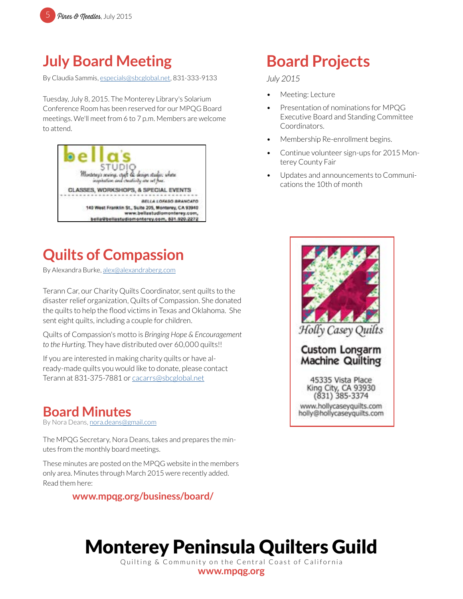# **July Board Meeting**

By Claudia Sammis, [especials@sbcglobal.net](mailto:especials%40sbcglobal.net?subject=MPQG), 831-333-9133

Tuesday, July 8, 2015. The Monterey Library's Solarium Conference Room has been reserved for our MPQG Board meetings. We'll meet from 6 to 7 p.m. Members are welcome to attend.



# **Quilts of Compassion**

By Alexandra Burke, [alex@alexandraberg.com](mailto:alex%40alexandraberg.com?subject=MPQG%20Newsletter)

Terann Car, our Charity Quilts Coordinator, sent quilts to the disaster relief organization, Quilts of Compassion. She donated the quilts to help the flood victims in Texas and Oklahoma. She sent eight quilts, including a couple for children.

Quilts of Compassion's motto is *Bringing Hope & Encouragement to the Hurting*. They have distributed over 60,000 quilts!!

If you are interested in making charity quilts or have already-made quilts you would like to donate, please contact Terann at 831-375-7881 or cacarrs@sbcglobal.net

### **Board Minutes**

By Nora Deans, [nora.deans@gmail.com](mailto:nora.deans%40gmail.com?subject=MPQG%20Board%20Minutes)

The MPQG Secretary, Nora Deans, takes and prepares the minutes from the monthly board meetings.

These minutes are posted on the MPQG website in the members only area. Minutes through March 2015 were recently added. Read them here:

**[www.mpqg.org/business/board/](http://www.mpqg.org/business/board/)**

# **Board Projects**

*July 2015*

- Meeting: Lecture
- Presentation of nominations for MPQG Executive Board and Standing Committee Coordinators.
- Membership Re-enrollment begins.
- Continue volunteer sign-ups for 2015 Monterey County Fair
- Updates and announcements to Communications the 10th of month



www.hollycaseyquilts.com holly@hollycaseyguilts.com

# Monterey Peninsula Quilters Guild

Quilting & Community on the Central Coast of California **[www.mpqg.org](http://www.mpqg.org)**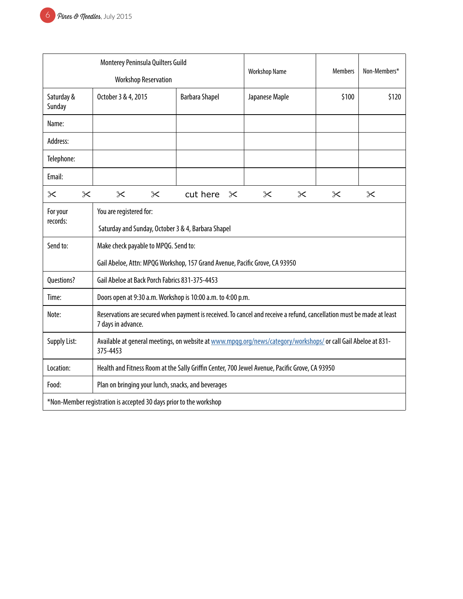| Monterey Peninsula Quilters Guild                                  |                                                                                                                                             |          |                       |                | <b>Workshop Name</b> |          |                       |          |  |
|--------------------------------------------------------------------|---------------------------------------------------------------------------------------------------------------------------------------------|----------|-----------------------|----------------|----------------------|----------|-----------------------|----------|--|
| <b>Workshop Reservation</b>                                        |                                                                                                                                             |          |                       | <b>Members</b> |                      |          | Non-Members*          |          |  |
| Saturday &<br>Sunday                                               | October 3 & 4, 2015                                                                                                                         |          | <b>Barbara Shapel</b> |                | Japanese Maple       |          | \$100                 | \$120    |  |
| Name:                                                              |                                                                                                                                             |          |                       |                |                      |          |                       |          |  |
| Address:                                                           |                                                                                                                                             |          |                       |                |                      |          |                       |          |  |
| Telephone:                                                         |                                                                                                                                             |          |                       |                |                      |          |                       |          |  |
| Email:                                                             |                                                                                                                                             |          |                       |                |                      |          |                       |          |  |
| $\times$<br>$\propto$                                              | $\times$                                                                                                                                    | $\times$ | cut here              | $\times$       | $\times$             | $\times$ | $\boldsymbol{\times}$ | $\times$ |  |
| For your<br>records:                                               | You are registered for:                                                                                                                     |          |                       |                |                      |          |                       |          |  |
|                                                                    | Saturday and Sunday, October 3 & 4, Barbara Shapel                                                                                          |          |                       |                |                      |          |                       |          |  |
| Send to:                                                           | Make check payable to MPQG. Send to:                                                                                                        |          |                       |                |                      |          |                       |          |  |
|                                                                    | Gail Abeloe, Attn: MPQG Workshop, 157 Grand Avenue, Pacific Grove, CA 93950                                                                 |          |                       |                |                      |          |                       |          |  |
| Questions?                                                         | Gail Abeloe at Back Porch Fabrics 831-375-4453                                                                                              |          |                       |                |                      |          |                       |          |  |
| Time:                                                              | Doors open at 9:30 a.m. Workshop is 10:00 a.m. to 4:00 p.m.                                                                                 |          |                       |                |                      |          |                       |          |  |
| Note:                                                              | Reservations are secured when payment is received. To cancel and receive a refund, cancellation must be made at least<br>7 days in advance. |          |                       |                |                      |          |                       |          |  |
| <b>Supply List:</b>                                                | Available at general meetings, on website at www.mpgg.org/news/category/workshops/ or call Gail Abeloe at 831-<br>375-4453                  |          |                       |                |                      |          |                       |          |  |
| Location:                                                          | Health and Fitness Room at the Sally Griffin Center, 700 Jewel Avenue, Pacific Grove, CA 93950                                              |          |                       |                |                      |          |                       |          |  |
| Food:                                                              | Plan on bringing your lunch, snacks, and beverages                                                                                          |          |                       |                |                      |          |                       |          |  |
| *Non-Member registration is accepted 30 days prior to the workshop |                                                                                                                                             |          |                       |                |                      |          |                       |          |  |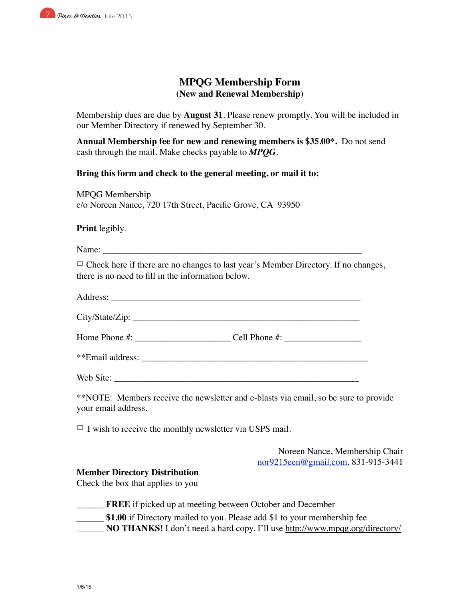

### **MPQG Membership Form (New and Renewal Membership)**

Membership dues are due by **August 31**. Please renew promptly. You will be included in our Member Directory if renewed by September 30.

**Annual Membership fee for new and renewing members is \$35.00\*.** Do not send cash through the mail. Make checks payable to *MPQG*.

**Bring this form and check to the general meeting, or mail it to:**

MPQG Membership c/o Noreen Nance, 720 17th Street, Pacific Grove, CA 93950

**Print** legibly.

Name:

 $\Box$  Check here if there are no changes to last year's Member Directory. If no changes, there is no need to fill in the information below.

Address: \_\_\_\_\_\_\_\_\_\_\_\_\_\_\_\_\_\_\_\_\_\_\_\_\_\_\_\_\_\_\_\_\_\_\_\_\_\_\_\_\_\_\_\_\_\_\_\_\_\_\_\_\_\_\_

City/State/Zip: \_\_\_\_\_\_\_\_\_\_\_\_\_\_\_\_\_\_\_\_\_\_\_\_\_\_\_\_\_\_\_\_\_\_\_\_\_\_\_\_\_\_\_\_\_\_\_\_\_\_

Home Phone #: \_\_\_\_\_\_\_\_\_\_\_\_\_\_\_\_\_\_\_\_\_ Cell Phone #: \_\_\_\_\_\_\_\_\_\_\_\_\_\_\_\_\_

\*\*Email address:

Web Site:

\*\*NOTE: Members receive the newsletter and e-blasts via email, so be sure to provide your email address.

 $\Box$  I wish to receive the monthly newsletter via USPS mail.

Noreen Nance, Membership Chair nor9215een@gmail.com, 831-915-3441

#### **Member Directory Distribution**

Check the box that applies to you

- \_\_\_\_\_\_ **FREE** if picked up at meeting between October and December
- **\$1.00** if Directory mailed to you. Please add \$1 to your membership fee
- **NO THANKS!** I don't need a hard copy. I'll use http://www.mpqg.org/directory/